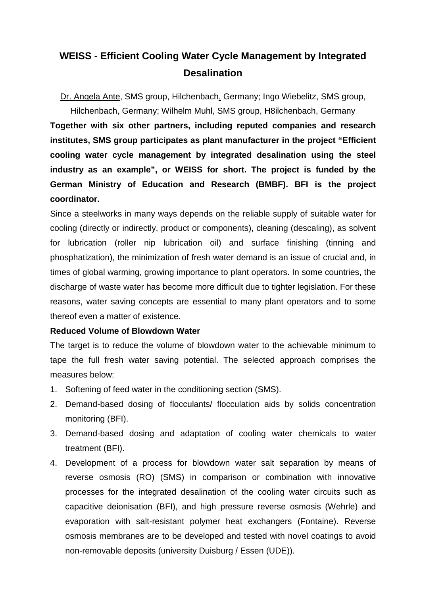## **WEISS - Efficient Cooling Water Cycle Management by Integrated Desalination**

Dr. Angela Ante, SMS group, Hilchenbach, Germany; Ingo Wiebelitz, SMS group,

Hilchenbach, Germany; Wilhelm Muhl, SMS group, H8ilchenbach, Germany **Together with six other partners, including reputed companies and research institutes, SMS group participates as plant manufacturer in the project "Efficient cooling water cycle management by integrated desalination using the steel industry as an example", or WEISS for short. The project is funded by the German Ministry of Education and Research (BMBF). BFI is the project coordinator.**

Since a steelworks in many ways depends on the reliable supply of suitable water for cooling (directly or indirectly, product or components), cleaning (descaling), as solvent for lubrication (roller nip lubrication oil) and surface finishing (tinning and phosphatization), the minimization of fresh water demand is an issue of crucial and, in times of global warming, growing importance to plant operators. In some countries, the discharge of waste water has become more difficult due to tighter legislation. For these reasons, water saving concepts are essential to many plant operators and to some thereof even a matter of existence.

## **Reduced Volume of Blowdown Water**

The target is to reduce the volume of blowdown water to the achievable minimum to tape the full fresh water saving potential. The selected approach comprises the measures below:

- 1. Softening of feed water in the conditioning section (SMS).
- 2. Demand-based dosing of flocculants/ flocculation aids by solids concentration monitoring (BFI).
- 3. Demand-based dosing and adaptation of cooling water chemicals to water treatment (BFI).
- 4. Development of a process for blowdown water salt separation by means of reverse osmosis (RO) (SMS) in comparison or combination with innovative processes for the integrated desalination of the cooling water circuits such as capacitive deionisation (BFI), and high pressure reverse osmosis (Wehrle) and evaporation with salt-resistant polymer heat exchangers (Fontaine). Reverse osmosis membranes are to be developed and tested with novel coatings to avoid non-removable deposits (university Duisburg / Essen (UDE)).